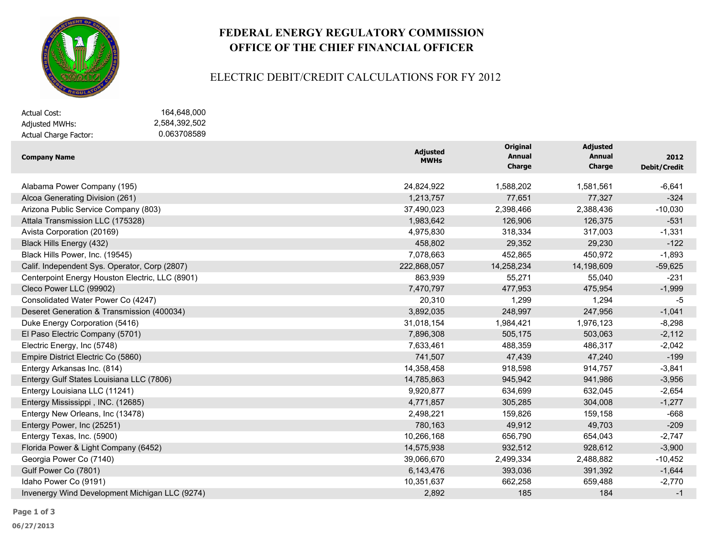

# **FEDERAL ENERGY REGULATORY COMMISSION OFFICE OF THE CHIEF FINANCIAL OFFICER**

#### ELECTRIC DEBIT/CREDIT CALCULATIONS FOR FY 2012

| Actual Cost:          | 164.648.000   |
|-----------------------|---------------|
| Adjusted MWHs:        | 2.584.392.502 |
| Actual Charge Factor: | 0.063708589   |

| <b>Company Name</b>                             | <b>Adjusted</b><br><b>MWHs</b> | Original<br><b>Annual</b> | <b>Adjusted</b><br><b>Annual</b> | 2012                |
|-------------------------------------------------|--------------------------------|---------------------------|----------------------------------|---------------------|
|                                                 |                                | Charge                    | <b>Charge</b>                    | <b>Debit/Credit</b> |
| Alabama Power Company (195)                     | 24,824,922                     | 1,588,202                 | 1,581,561                        | $-6,641$            |
| Alcoa Generating Division (261)                 | 1,213,757                      | 77,651                    | 77,327                           | $-324$              |
| Arizona Public Service Company (803)            | 37,490,023                     | 2,398,466                 | 2,388,436                        | $-10,030$           |
| Attala Transmission LLC (175328)                | 1,983,642                      | 126,906                   | 126,375                          | $-531$              |
| Avista Corporation (20169)                      | 4,975,830                      | 318,334                   | 317,003                          | $-1,331$            |
| Black Hills Energy (432)                        | 458,802                        | 29,352                    | 29,230                           | $-122$              |
| Black Hills Power, Inc. (19545)                 | 7,078,663                      | 452,865                   | 450,972                          | $-1,893$            |
| Calif. Independent Sys. Operator, Corp (2807)   | 222,868,057                    | 14,258,234                | 14,198,609                       | $-59,625$           |
| Centerpoint Energy Houston Electric, LLC (8901) | 863,939                        | 55,271                    | 55,040                           | $-231$              |
| Cleco Power LLC (99902)                         | 7,470,797                      | 477,953                   | 475,954                          | $-1,999$            |
| Consolidated Water Power Co (4247)              | 20,310                         | 1,299                     | 1,294                            | -5                  |
| Deseret Generation & Transmission (400034)      | 3,892,035                      | 248,997                   | 247,956                          | $-1,041$            |
| Duke Energy Corporation (5416)                  | 31,018,154                     | 1,984,421                 | 1,976,123                        | $-8,298$            |
| El Paso Electric Company (5701)                 | 7,896,308                      | 505,175                   | 503,063                          | $-2,112$            |
| Electric Energy, Inc (5748)                     | 7,633,461                      | 488,359                   | 486,317                          | $-2,042$            |
| Empire District Electric Co (5860)              | 741,507                        | 47,439                    | 47,240                           | $-199$              |
| Entergy Arkansas Inc. (814)                     | 14,358,458                     | 918,598                   | 914,757                          | $-3,841$            |
| Entergy Gulf States Louisiana LLC (7806)        | 14,785,863                     | 945,942                   | 941,986                          | $-3,956$            |
| Entergy Louisiana LLC (11241)                   | 9,920,877                      | 634,699                   | 632,045                          | $-2,654$            |
| Entergy Mississippi, INC. (12685)               | 4,771,857                      | 305,285                   | 304,008                          | $-1,277$            |
| Entergy New Orleans, Inc (13478)                | 2,498,221                      | 159,826                   | 159,158                          | $-668$              |
| Entergy Power, Inc (25251)                      | 780,163                        | 49,912                    | 49,703                           | $-209$              |
| Entergy Texas, Inc. (5900)                      | 10,266,168                     | 656,790                   | 654,043                          | $-2,747$            |
| Florida Power & Light Company (6452)            | 14,575,938                     | 932,512                   | 928,612                          | $-3,900$            |
| Georgia Power Co (7140)                         | 39,066,670                     | 2,499,334                 | 2,488,882                        | $-10,452$           |
| Gulf Power Co (7801)                            | 6,143,476                      | 393,036                   | 391,392                          | $-1,644$            |
| Idaho Power Co (9191)                           | 10,351,637                     | 662,258                   | 659,488                          | $-2,770$            |
| Invenergy Wind Development Michigan LLC (9274)  | 2,892                          | 185                       | 184                              | $-1$                |

**06/27/2013**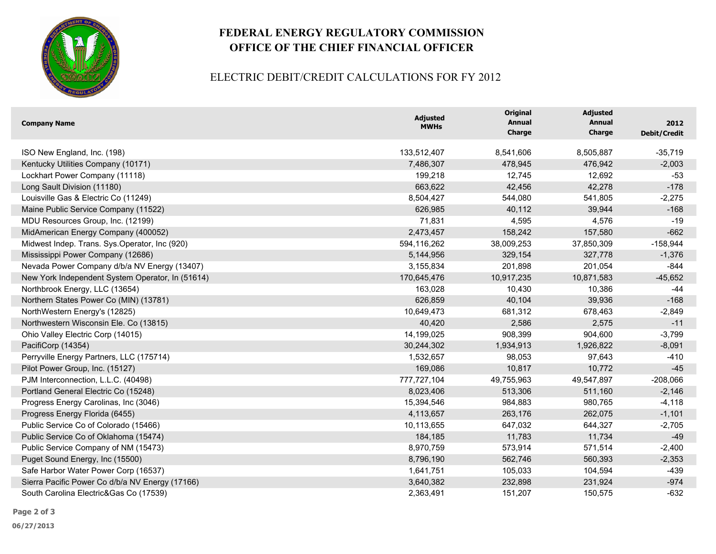

# **FEDERAL ENERGY REGULATORY COMMISSION OFFICE OF THE CHIEF FINANCIAL OFFICER**

### ELECTRIC DEBIT/CREDIT CALCULATIONS FOR FY 2012

| <b>Company Name</b>                              | <b>Adjusted</b><br><b>MWHs</b> | <b>Original</b><br><b>Annual</b><br><b>Charge</b> | <b>Adjusted</b><br>Annual<br>Charge | 2012<br>Debit/Credit |
|--------------------------------------------------|--------------------------------|---------------------------------------------------|-------------------------------------|----------------------|
| ISO New England, Inc. (198)                      | 133,512,407                    | 8,541,606                                         | 8,505,887                           | $-35,719$            |
| Kentucky Utilities Company (10171)               | 7,486,307                      | 478,945                                           | 476,942                             | $-2,003$             |
| Lockhart Power Company (11118)                   | 199,218                        | 12,745                                            | 12,692                              | $-53$                |
| Long Sault Division (11180)                      | 663,622                        | 42,456                                            | 42,278                              | $-178$               |
| Louisville Gas & Electric Co (11249)             | 8,504,427                      | 544,080                                           | 541,805                             | $-2,275$             |
| Maine Public Service Company (11522)             | 626,985                        | 40,112                                            | 39,944                              | $-168$               |
| MDU Resources Group, Inc. (12199)                | 71,831                         | 4,595                                             | 4,576                               | $-19$                |
| MidAmerican Energy Company (400052)              | 2,473,457                      | 158,242                                           | 157,580                             | $-662$               |
| Midwest Indep. Trans. Sys.Operator, Inc (920)    | 594,116,262                    | 38,009,253                                        | 37,850,309                          | $-158,944$           |
| Mississippi Power Company (12686)                | 5,144,956                      | 329,154                                           | 327,778                             | $-1,376$             |
| Nevada Power Company d/b/a NV Energy (13407)     | 3,155,834                      | 201,898                                           | 201,054                             | $-844$               |
| New York Independent System Operator, In (51614) | 170,645,476                    | 10,917,235                                        | 10,871,583                          | $-45,652$            |
| Northbrook Energy, LLC (13654)                   | 163,028                        | 10,430                                            | 10,386                              | $-44$                |
| Northern States Power Co (MIN) (13781)           | 626,859                        | 40,104                                            | 39,936                              | $-168$               |
| NorthWestern Energy's (12825)                    | 10,649,473                     | 681,312                                           | 678,463                             | $-2,849$             |
| Northwestern Wisconsin Ele. Co (13815)           | 40,420                         | 2,586                                             | 2,575                               | $-11$                |
| Ohio Valley Electric Corp (14015)                | 14,199,025                     | 908,399                                           | 904,600                             | $-3,799$             |
| PacifiCorp (14354)                               | 30,244,302                     | 1,934,913                                         | 1,926,822                           | $-8,091$             |
| Perryville Energy Partners, LLC (175714)         | 1,532,657                      | 98,053                                            | 97,643                              | $-410$               |
| Pilot Power Group, Inc. (15127)                  | 169,086                        | 10,817                                            | 10,772                              | $-45$                |
| PJM Interconnection, L.L.C. (40498)              | 777,727,104                    | 49,755,963                                        | 49,547,897                          | $-208,066$           |
| Portland General Electric Co (15248)             | 8,023,406                      | 513,306                                           | 511,160                             | $-2,146$             |
| Progress Energy Carolinas, Inc (3046)            | 15,394,546                     | 984,883                                           | 980,765                             | $-4,118$             |
| Progress Energy Florida (6455)                   | 4,113,657                      | 263,176                                           | 262,075                             | $-1,101$             |
| Public Service Co of Colorado (15466)            | 10,113,655                     | 647,032                                           | 644,327                             | $-2,705$             |
| Public Service Co of Oklahoma (15474)            | 184,185                        | 11,783                                            | 11,734                              | $-49$                |
| Public Service Company of NM (15473)             | 8,970,759                      | 573,914                                           | 571,514                             | $-2,400$             |
| Puget Sound Energy, Inc (15500)                  | 8,796,190                      | 562,746                                           | 560,393                             | $-2,353$             |
| Safe Harbor Water Power Corp (16537)             | 1,641,751                      | 105,033                                           | 104,594                             | $-439$               |
| Sierra Pacific Power Co d/b/a NV Energy (17166)  | 3,640,382                      | 232,898                                           | 231,924                             | $-974$               |
| South Carolina Electric&Gas Co (17539)           | 2,363,491                      | 151,207                                           | 150,575                             | $-632$               |

**Page 2 of 3**

**06/27/2013**